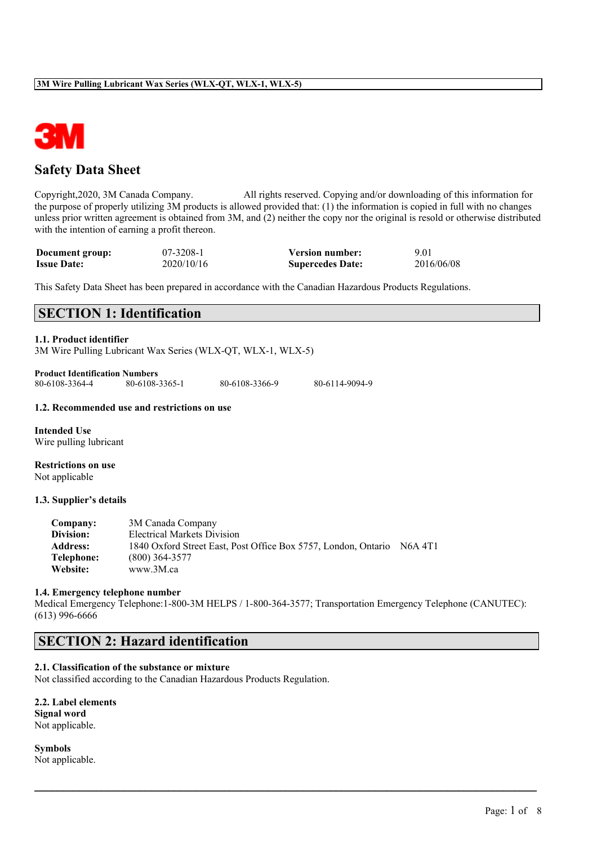

## **Safety Data Sheet**

Copyright,2020, 3M Canada Company. All rights reserved. Copying and/or downloading of this information for the purpose of properly utilizing 3M products is allowed provided that: (1) the information is copied in full with no changes unless prior written agreement is obtained from 3M, and (2) neither the copy nor the original is resold or otherwise distributed with the intention of earning a profit thereon.

| Document group:    | 07-3208-1  | <b>Version number:</b>  | 9.01       |
|--------------------|------------|-------------------------|------------|
| <b>Issue Date:</b> | 2020/10/16 | <b>Supercedes Date:</b> | 2016/06/08 |

This Safety Data Sheet has been prepared in accordance with the Canadian Hazardous Products Regulations.

## **SECTION 1: Identification**

## **1.1. Product identifier**

3M Wire Pulling Lubricant Wax Series (WLX-QT, WLX-1, WLX-5)

**Product Identification Numbers**<br>80-6108-3364-4<br>80-6108-3365-1 80-6108-3364-4 80-6108-3365-1 80-6108-3366-9 80-6114-9094-9

#### **1.2. Recommended use and restrictions on use**

**Intended Use** Wire pulling lubricant

**Restrictions on use** Not applicable

#### **1.3. Supplier's details**

| Company:        | 3M Canada Company                                              |         |
|-----------------|----------------------------------------------------------------|---------|
| Division:       | Electrical Markets Division                                    |         |
| <b>Address:</b> | 1840 Oxford Street East, Post Office Box 5757, London, Ontario | N6A 4T1 |
| Telephone:      | $(800)$ 364-3577                                               |         |
| Website:        | www.3M.ca                                                      |         |

#### **1.4. Emergency telephone number**

Medical Emergency Telephone:1-800-3M HELPS / 1-800-364-3577; Transportation Emergency Telephone (CANUTEC): (613) 996-6666

 $\mathcal{L}_\mathcal{L} = \mathcal{L}_\mathcal{L} = \mathcal{L}_\mathcal{L} = \mathcal{L}_\mathcal{L} = \mathcal{L}_\mathcal{L} = \mathcal{L}_\mathcal{L} = \mathcal{L}_\mathcal{L} = \mathcal{L}_\mathcal{L} = \mathcal{L}_\mathcal{L} = \mathcal{L}_\mathcal{L} = \mathcal{L}_\mathcal{L} = \mathcal{L}_\mathcal{L} = \mathcal{L}_\mathcal{L} = \mathcal{L}_\mathcal{L} = \mathcal{L}_\mathcal{L} = \mathcal{L}_\mathcal{L} = \mathcal{L}_\mathcal{L}$ 

## **SECTION 2: Hazard identification**

## **2.1. Classification of the substance or mixture**

Not classified according to the Canadian Hazardous Products Regulation.

| <b>2.2. Label elements</b> |  |
|----------------------------|--|
| Signal word                |  |
| Not applicable.            |  |

**Symbols** Not applicable.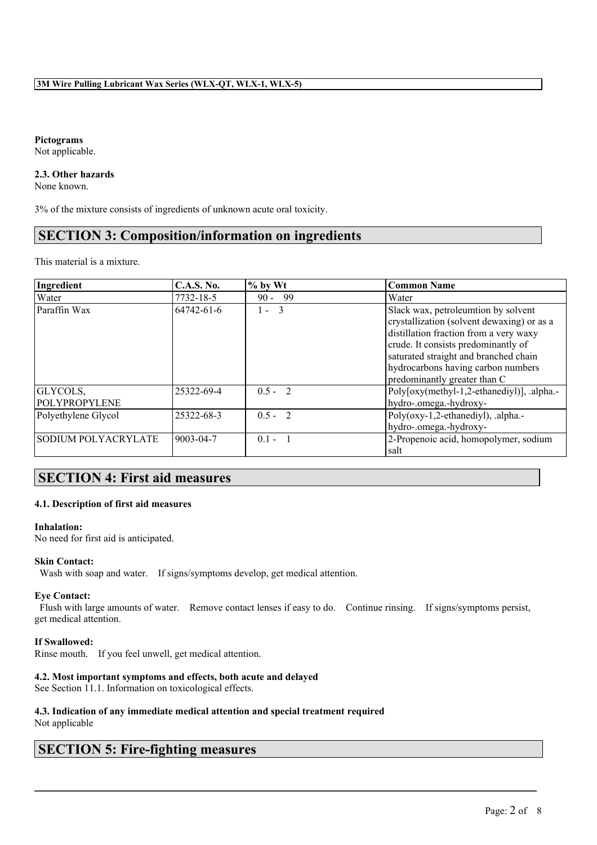**Pictograms** Not applicable.

#### **2.3. Other hazards**

None known.

3% of the mixture consists of ingredients of unknown acute oral toxicity.

## **SECTION 3: Composition/information on ingredients**

This material is a mixture.

| Ingredient                 | <b>C.A.S. No.</b> | $%$ by Wt     | <b>Common Name</b>                                                                                                                                                                                                                                                                |
|----------------------------|-------------------|---------------|-----------------------------------------------------------------------------------------------------------------------------------------------------------------------------------------------------------------------------------------------------------------------------------|
| Water                      | 7732-18-5         | -99<br>$90 -$ | Water                                                                                                                                                                                                                                                                             |
| Paraffin Wax               | 64742-61-6        | $1 - 3$       | Slack wax, petroleumtion by solvent<br>crystallization (solvent dewaxing) or as a<br>distillation fraction from a very waxy<br>crude. It consists predominantly of<br>saturated straight and branched chain<br>hydrocarbons having carbon numbers<br>predominantly greater than C |
| GLYCOLS,<br>POLYPROPYLENE  | 25322-69-4        | $0.5 - 2$     | Poly[oxy(methyl-1,2-ethanediyl)], .alpha.-<br>hydro-.omega.-hydroxy-                                                                                                                                                                                                              |
| Polyethylene Glycol        | 25322-68-3        | $0.5 - 2$     | Poly(oxy-1,2-ethanediyl), .alpha.-<br>hydro-.omega.-hydroxy-                                                                                                                                                                                                                      |
| <b>SODIUM POLYACRYLATE</b> | 9003-04-7         | $0.1 - 1$     | 2-Propenoic acid, homopolymer, sodium<br>salt                                                                                                                                                                                                                                     |

## **SECTION 4: First aid measures**

## **4.1. Description of first aid measures**

#### **Inhalation:**

No need for first aid is anticipated.

## **Skin Contact:**

Wash with soap and water. If signs/symptoms develop, get medical attention.

#### **Eye Contact:**

Flush with large amounts of water. Remove contact lenses if easy to do. Continue rinsing. If signs/symptoms persist, get medical attention.

 $\mathcal{L}_\mathcal{L} = \mathcal{L}_\mathcal{L} = \mathcal{L}_\mathcal{L} = \mathcal{L}_\mathcal{L} = \mathcal{L}_\mathcal{L} = \mathcal{L}_\mathcal{L} = \mathcal{L}_\mathcal{L} = \mathcal{L}_\mathcal{L} = \mathcal{L}_\mathcal{L} = \mathcal{L}_\mathcal{L} = \mathcal{L}_\mathcal{L} = \mathcal{L}_\mathcal{L} = \mathcal{L}_\mathcal{L} = \mathcal{L}_\mathcal{L} = \mathcal{L}_\mathcal{L} = \mathcal{L}_\mathcal{L} = \mathcal{L}_\mathcal{L}$ 

## **If Swallowed:**

Rinse mouth. If you feel unwell, get medical attention.

## **4.2. Most important symptoms and effects, both acute and delayed**

See Section 11.1. Information on toxicological effects.

#### **4.3. Indication of any immediate medical attention and special treatment required** Not applicable

# **SECTION 5: Fire-fighting measures**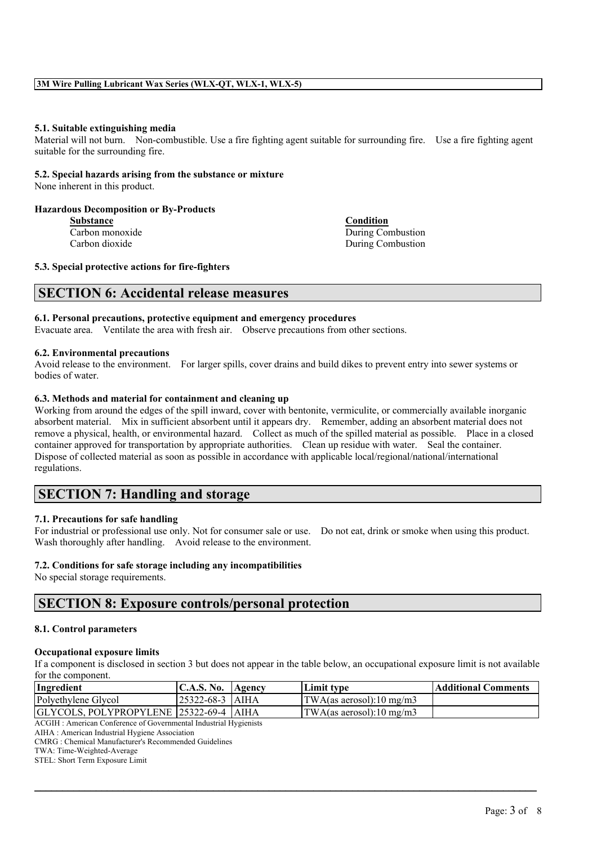#### **5.1. Suitable extinguishing media**

Material will not burn. Non-combustible. Use a fire fighting agent suitable for surrounding fire. Use a fire fighting agent suitable for the surrounding fire.

## **5.2. Special hazards arising from the substance or mixture**

None inherent in this product.

#### **Hazardous Decomposition or By-Products**

**Substance Condition**

**Carbon monoxide During Combustion** Carbon dioxide During Combustion

#### **5.3. Special protective actions for fire-fighters**

## **SECTION 6: Accidental release measures**

#### **6.1. Personal precautions, protective equipment and emergency procedures**

Evacuate area. Ventilate the area with fresh air. Observe precautions from other sections.

#### **6.2. Environmental precautions**

Avoid release to the environment. For larger spills, cover drains and build dikes to prevent entry into sewer systems or bodies of water.

#### **6.3. Methods and material for containment and cleaning up**

Working from around the edges of the spill inward, cover with bentonite, vermiculite, or commercially available inorganic absorbent material. Mix in sufficient absorbent until it appears dry. Remember, adding an absorbent material does not remove a physical, health, or environmental hazard. Collect as much of the spilled material as possible. Place in a closed container approved for transportation by appropriate authorities. Clean up residue with water. Seal the container. Dispose of collected material as soon as possible in accordance with applicable local/regional/national/international regulations.

## **SECTION 7: Handling and storage**

## **7.1. Precautions for safe handling**

For industrial or professional use only. Not for consumer sale or use. Do not eat, drink or smoke when using this product. Wash thoroughly after handling. Avoid release to the environment.

## **7.2. Conditions for safe storage including any incompatibilities**

No special storage requirements.

# **SECTION 8: Exposure controls/personal protection**

## **8.1. Control parameters**

## **Occupational exposure limits**

If a component is disclosed in section 3 but does not appear in the table below, an occupational exposure limit is not available for the component.

| Ingredient                                 | C.A.S. No.        | Agency | Limit type                   | <b>Additional Comments</b> |
|--------------------------------------------|-------------------|--------|------------------------------|----------------------------|
| Polyethylene Glycol                        | 125322-68-3 1AIHA |        | $ TWA$ (as aerosol):10 mg/m3 |                            |
| GLYCOLS, POLYPROPYLENE   25322-69-4   AIHA |                   |        | TWA(as aerosol):10 mg/m3     |                            |
| $\sqrt{2}$                                 |                   |        |                              |                            |

 $\mathcal{L}_\mathcal{L} = \mathcal{L}_\mathcal{L} = \mathcal{L}_\mathcal{L} = \mathcal{L}_\mathcal{L} = \mathcal{L}_\mathcal{L} = \mathcal{L}_\mathcal{L} = \mathcal{L}_\mathcal{L} = \mathcal{L}_\mathcal{L} = \mathcal{L}_\mathcal{L} = \mathcal{L}_\mathcal{L} = \mathcal{L}_\mathcal{L} = \mathcal{L}_\mathcal{L} = \mathcal{L}_\mathcal{L} = \mathcal{L}_\mathcal{L} = \mathcal{L}_\mathcal{L} = \mathcal{L}_\mathcal{L} = \mathcal{L}_\mathcal{L}$ 

ACGIH : American Conference of Governmental Industrial Hygienists

AIHA : American Industrial Hygiene Association CMRG : Chemical Manufacturer's Recommended Guidelines

TWA: Time-Weighted-Average

STEL: Short Term Exposure Limit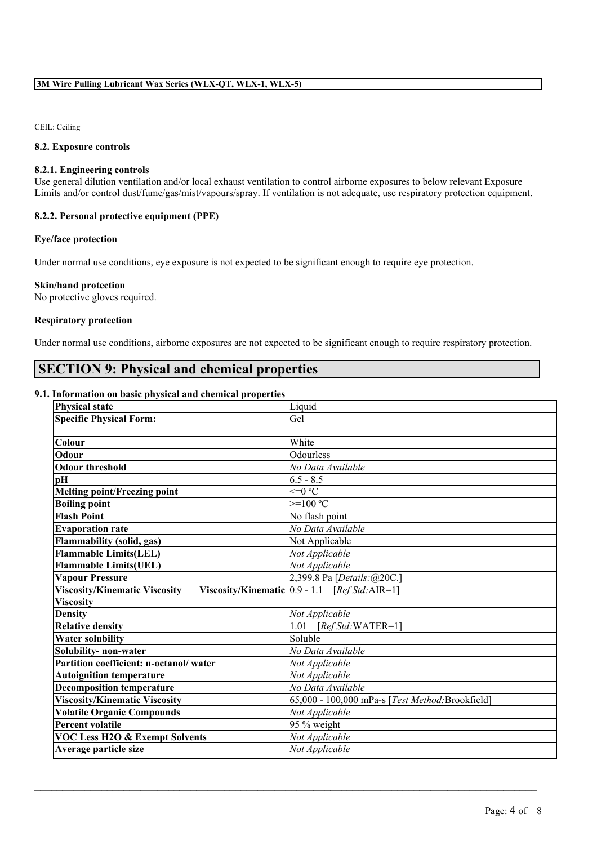CEIL: Ceiling

## **8.2. Exposure controls**

### **8.2.1. Engineering controls**

Use general dilution ventilation and/or local exhaust ventilation to control airborne exposures to below relevant Exposure Limits and/or control dust/fume/gas/mist/vapours/spray. If ventilation is not adequate, use respiratory protection equipment.

## **8.2.2. Personal protective equipment (PPE)**

## **Eye/face protection**

Under normal use conditions, eye exposure is not expected to be significant enough to require eye protection.

#### **Skin/hand protection**

No protective gloves required.

#### **Respiratory protection**

Under normal use conditions, airborne exposures are not expected to be significant enough to require respiratory protection.

# **SECTION 9: Physical and chemical properties**

#### **9.1. Information on basic physical and chemical properties**

| <b>Physical state</b>                  | Liquid                                            |
|----------------------------------------|---------------------------------------------------|
| <b>Specific Physical Form:</b>         | Gel                                               |
|                                        |                                                   |
| Colour                                 | White                                             |
| Odour                                  | Odourless                                         |
| <b>Odour threshold</b>                 | No Data Available                                 |
| pH                                     | $6.5 - 8.5$                                       |
| <b>Melting point/Freezing point</b>    | $\leq 0$ °C                                       |
| <b>Boiling point</b>                   | $>=100 °C$                                        |
| <b>Flash Point</b>                     | No flash point                                    |
| <b>Evaporation rate</b>                | No Data Available                                 |
| <b>Flammability (solid, gas)</b>       | Not Applicable                                    |
| <b>Flammable Limits(LEL)</b>           | Not Applicable                                    |
| <b>Flammable Limits(UEL)</b>           | Not Applicable                                    |
| <b>Vapour Pressure</b>                 | 2,399.8 Pa [Details:@20C.]                        |
| <b>Viscosity/Kinematic Viscosity</b>   | Viscosity/Kinematic $ 0.9 - 1.1$ [Ref Std: AIR=1] |
| <b>Viscosity</b>                       |                                                   |
| <b>Density</b>                         | Not Applicable                                    |
| <b>Relative density</b>                | 1.01 $[RefStd:WATER=1]$                           |
| <b>Water solubility</b>                | Soluble                                           |
| Solubility- non-water                  | No Data Available                                 |
| Partition coefficient: n-octanol/water | Not Applicable                                    |
| <b>Autoignition temperature</b>        | Not Applicable                                    |
| <b>Decomposition temperature</b>       | No Data Available                                 |
| <b>Viscosity/Kinematic Viscosity</b>   | 65,000 - 100,000 mPa-s [Test Method:Brookfield]   |
| <b>Volatile Organic Compounds</b>      | Not Applicable                                    |
| <b>Percent volatile</b>                | 95 % weight                                       |
| VOC Less H2O & Exempt Solvents         | Not Applicable                                    |
| Average particle size                  | Not Applicable                                    |

 $\mathcal{L}_\mathcal{L} = \mathcal{L}_\mathcal{L} = \mathcal{L}_\mathcal{L} = \mathcal{L}_\mathcal{L} = \mathcal{L}_\mathcal{L} = \mathcal{L}_\mathcal{L} = \mathcal{L}_\mathcal{L} = \mathcal{L}_\mathcal{L} = \mathcal{L}_\mathcal{L} = \mathcal{L}_\mathcal{L} = \mathcal{L}_\mathcal{L} = \mathcal{L}_\mathcal{L} = \mathcal{L}_\mathcal{L} = \mathcal{L}_\mathcal{L} = \mathcal{L}_\mathcal{L} = \mathcal{L}_\mathcal{L} = \mathcal{L}_\mathcal{L}$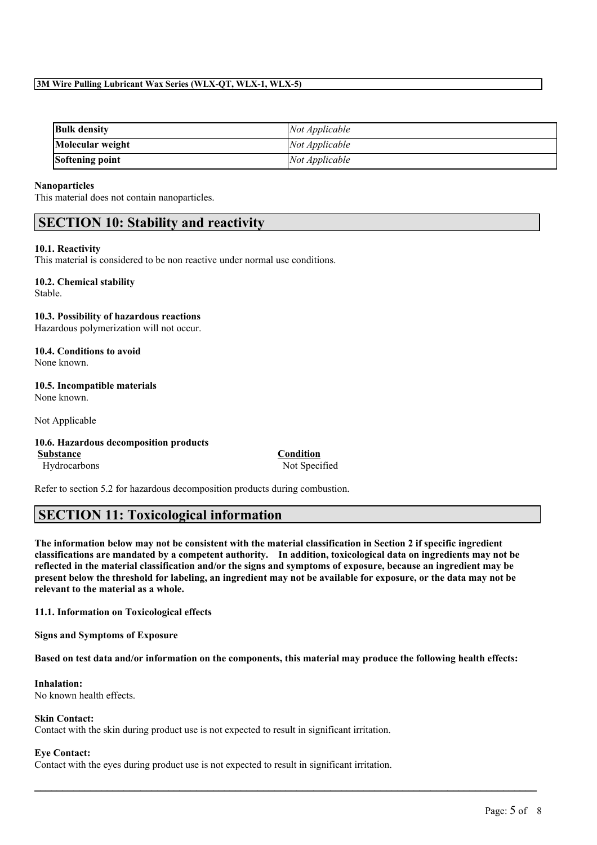## **3M Wire Pulling Lubricant Wax Series (WLX-QT, WLX-1, WLX-5)**

| <b>Bulk density</b> | Not Applicable |
|---------------------|----------------|
| Molecular weight    | Not Applicable |
| Softening point     | Not Applicable |

### **Nanoparticles**

This material does not contain nanoparticles.

## **SECTION 10: Stability and reactivity**

#### **10.1. Reactivity**

This material is considered to be non reactive under normal use conditions.

#### **10.2. Chemical stability** Stable.

**10.3. Possibility of hazardous reactions** Hazardous polymerization will not occur.

**10.4. Conditions to avoid** None known.

### **10.5. Incompatible materials** None known.

Not Applicable

## **10.6. Hazardous decomposition products**

**Substance Condition** Hydrocarbons Not Specified

Refer to section 5.2 for hazardous decomposition products during combustion.

## **SECTION 11: Toxicological information**

The information below may not be consistent with the material classification in Section 2 if specific ingredient **classifications are mandated by a competent authority. In addition, toxicological data on ingredients may not be** reflected in the material classification and/or the signs and symptoms of exposure, because an ingredient may be present below the threshold for labeling, an ingredient may not be available for exposure, or the data may not be **relevant to the material as a whole.**

**11.1. Information on Toxicological effects**

**Signs and Symptoms of Exposure**

Based on test data and/or information on the components, this material may produce the following health effects:

 $\mathcal{L}_\mathcal{L} = \mathcal{L}_\mathcal{L} = \mathcal{L}_\mathcal{L} = \mathcal{L}_\mathcal{L} = \mathcal{L}_\mathcal{L} = \mathcal{L}_\mathcal{L} = \mathcal{L}_\mathcal{L} = \mathcal{L}_\mathcal{L} = \mathcal{L}_\mathcal{L} = \mathcal{L}_\mathcal{L} = \mathcal{L}_\mathcal{L} = \mathcal{L}_\mathcal{L} = \mathcal{L}_\mathcal{L} = \mathcal{L}_\mathcal{L} = \mathcal{L}_\mathcal{L} = \mathcal{L}_\mathcal{L} = \mathcal{L}_\mathcal{L}$ 

## **Inhalation:**

No known health effects.

## **Skin Contact:**

Contact with the skin during product use is not expected to result in significant irritation.

## **Eye Contact:**

Contact with the eyes during product use is not expected to result in significant irritation.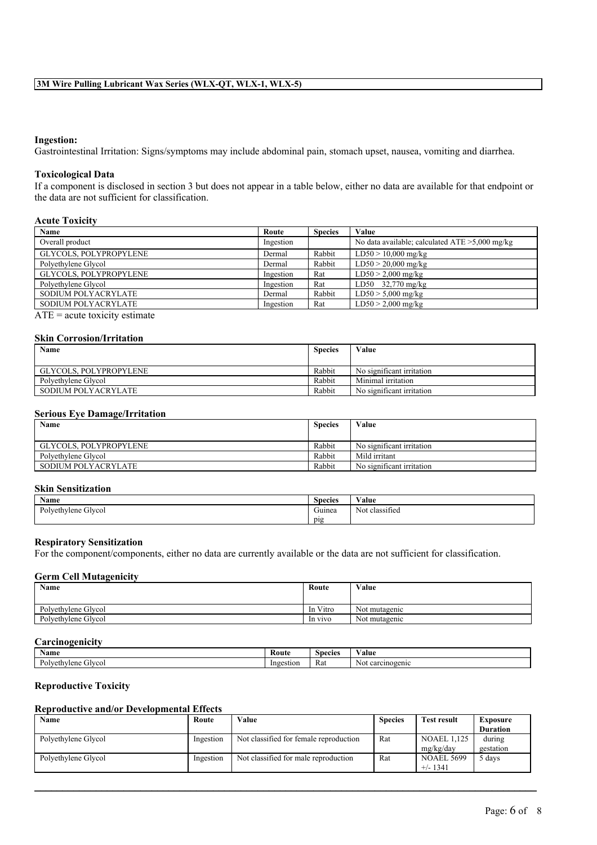## **Ingestion:**

Gastrointestinal Irritation: Signs/symptoms may include abdominal pain, stomach upset, nausea, vomiting and diarrhea.

#### **Toxicological Data**

If a component is disclosed in section 3 but does not appear in a table below, either no data are available for that endpoint or the data are not sufficient for classification.

## **Acute Toxicity**

| Name                   | Route     | <b>Species</b> | Value                                             |
|------------------------|-----------|----------------|---------------------------------------------------|
| Overall product        | Ingestion |                | No data available; calculated $ATE > 5,000$ mg/kg |
| GLYCOLS, POLYPROPYLENE | Dermal    | Rabbit         | $LD50 > 10,000$ mg/kg                             |
| Polyethylene Glycol    | Dermal    | Rabbit         | $LD50 > 20,000$ mg/kg                             |
| GLYCOLS, POLYPROPYLENE | Ingestion | Rat            | $LD50 > 2,000$ mg/kg                              |
| Polyethylene Glycol    | Ingestion | Rat            | LD50 $32,770$ mg/kg                               |
| SODIUM POLYACRYLATE    | Dermal    | Rabbit         | $LD50 > 5,000$ mg/kg                              |
| SODIUM POLYACRYLATE    | Ingestion | Rat            | $LD50 > 2,000$ mg/kg                              |

 $ATE = acute$  toxicity estimate

#### **Skin Corrosion/Irritation**

| Name                   | <b>Species</b> | Value                     |
|------------------------|----------------|---------------------------|
|                        |                |                           |
| GLYCOLS. POLYPROPYLENE | Rabbit         | No significant irritation |
| Polvethylene Glycol    | Rabbit         | Minimal irritation        |
| SODIUM POLYACRYLATE    | Rabbit         | No significant irritation |

#### **Serious Eye Damage/Irritation**

| Name                   | <b>Species</b> | Value                     |
|------------------------|----------------|---------------------------|
| GLYCOLS. POLYPROPYLENE | Rabbit         | No significant irritation |
| Polvethylene Glycol    | Rabbit         | Mild irritant             |
| SODIUM POLYACRYLATE    | Rabbit         | No significant irritation |

## **Skin Sensitization**

| ------------------------------ |                          |                             |  |
|--------------------------------|--------------------------|-----------------------------|--|
| . — п<br><b>Name</b>           | $\sim$<br><b>Species</b> | $\mathbf{v}$<br>Value       |  |
| Glvcol<br>Polyethylene         | $\sim$<br>Guinea         | $\sim$<br>Not<br>classified |  |
|                                | pig                      |                             |  |

#### **Respiratory Sensitization**

For the component/components, either no data are currently available or the data are not sufficient for classification.

#### **Germ Cell Mutagenicity**

| <b>Name</b>         | Route    | Value         |
|---------------------|----------|---------------|
| Polyethylene Glycol | In Vitro | Not mutagenic |
| Polyethylene Glycol | In vivo  | Not mutagenic |

## **Carcinogenicity**

| Name                                      | Koute     | <b>Species</b> | ∨alue                                 |
|-------------------------------------------|-----------|----------------|---------------------------------------|
| $P_0$<br>GIVCOL<br>ivlene<br>wethy.<br>◡ᇿ | Ingestior | Rat            | rcinogenic<br>Nol.<br>$\alpha$<br>va, |

## **Reproductive Toxicity**

## **Reproductive and/or Developmental Effects**

| Name                | Route     | Value                                  | <b>Species</b> | Test result                     | <b>Exposure</b><br><b>Duration</b> |
|---------------------|-----------|----------------------------------------|----------------|---------------------------------|------------------------------------|
| Polyethylene Glycol | Ingestion | Not classified for female reproduction | Rat            | <b>NOAEL 1,125</b><br>mg/kg/day | during<br>gestation                |
| Polyethylene Glycol | Ingestion | Not classified for male reproduction   | Rat            | <b>NOAEL 5699</b><br>$+/- 1341$ | 5 days                             |

 $\mathcal{L}_\mathcal{L} = \mathcal{L}_\mathcal{L} = \mathcal{L}_\mathcal{L} = \mathcal{L}_\mathcal{L} = \mathcal{L}_\mathcal{L} = \mathcal{L}_\mathcal{L} = \mathcal{L}_\mathcal{L} = \mathcal{L}_\mathcal{L} = \mathcal{L}_\mathcal{L} = \mathcal{L}_\mathcal{L} = \mathcal{L}_\mathcal{L} = \mathcal{L}_\mathcal{L} = \mathcal{L}_\mathcal{L} = \mathcal{L}_\mathcal{L} = \mathcal{L}_\mathcal{L} = \mathcal{L}_\mathcal{L} = \mathcal{L}_\mathcal{L}$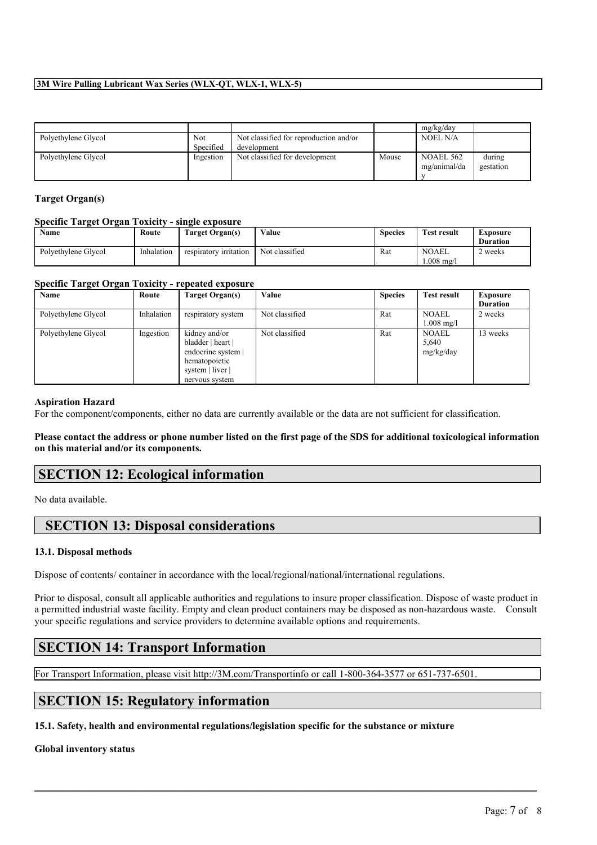## **3M Wire Pulling Lubricant Wax Series (WLX-QT, WLX-1, WLX-5)**

|                     |                  |                                                       |       | mg/kg/day                        |                     |
|---------------------|------------------|-------------------------------------------------------|-------|----------------------------------|---------------------|
| Polyethylene Glycol | Not<br>Specified | Not classified for reproduction and/or<br>development |       | <b>NOEL N/A</b>                  |                     |
| Polyethylene Glycol | Ingestion        | Not classified for development                        | Mouse | <b>NOAEL 562</b><br>mg/animal/da | during<br>gestation |

## **Target Organ(s)**

## **Specific Target Organ Toxicity - single exposure**

| <b>Name</b>         | Route      | Target Organ(s)        | Value          | <b>Species</b> | <b>Test result</b>          | Exposure<br><b>Duration</b> |
|---------------------|------------|------------------------|----------------|----------------|-----------------------------|-----------------------------|
| Polvethylene Glycol | Inhalation | respiratory irritation | Not classified | Rat            | <b>NOAEL</b><br>$1.008$ mg/ | 2 weeks                     |

## **Specific Target Organ Toxicity - repeated exposure**

| Name                | Route      | Target Organ(s)                                                                                                 | Value          | <b>Species</b> | <b>Test result</b>                 | <b>Exposure</b><br><b>Duration</b> |
|---------------------|------------|-----------------------------------------------------------------------------------------------------------------|----------------|----------------|------------------------------------|------------------------------------|
| Polyethylene Glycol | Inhalation | respiratory system                                                                                              | Not classified | Rat            | <b>NOAEL</b><br>$1.008$ mg/l       | 2 weeks                            |
| Polyethylene Glycol | Ingestion  | kidney and/or<br>bladder   heart  <br>endocrine system  <br>hematopoietic<br>system   liver  <br>nervous system | Not classified | Rat            | <b>NOAEL</b><br>5,640<br>mg/kg/day | 13 weeks                           |

#### **Aspiration Hazard**

For the component/components, either no data are currently available or the data are not sufficient for classification.

Please contact the address or phone number listed on the first page of the SDS for additional toxicological information **on this material and/or its components.**

## **SECTION 12: Ecological information**

No data available.

## **SECTION 13: Disposal considerations**

## **13.1. Disposal methods**

Dispose of contents/ container in accordance with the local/regional/national/international regulations.

Prior to disposal, consult all applicable authorities and regulations to insure proper classification. Dispose of waste product in a permitted industrial waste facility. Empty and clean product containers may be disposed as non-hazardous waste. Consult your specific regulations and service providers to determine available options and requirements.

 $\mathcal{L}_\mathcal{L} = \mathcal{L}_\mathcal{L} = \mathcal{L}_\mathcal{L} = \mathcal{L}_\mathcal{L} = \mathcal{L}_\mathcal{L} = \mathcal{L}_\mathcal{L} = \mathcal{L}_\mathcal{L} = \mathcal{L}_\mathcal{L} = \mathcal{L}_\mathcal{L} = \mathcal{L}_\mathcal{L} = \mathcal{L}_\mathcal{L} = \mathcal{L}_\mathcal{L} = \mathcal{L}_\mathcal{L} = \mathcal{L}_\mathcal{L} = \mathcal{L}_\mathcal{L} = \mathcal{L}_\mathcal{L} = \mathcal{L}_\mathcal{L}$ 

# **SECTION 14: Transport Information**

For Transport Information, please visit http://3M.com/Transportinfo or call 1-800-364-3577 or 651-737-6501.

# **SECTION 15: Regulatory information**

**15.1. Safety, health and environmental regulations/legislation specific for the substance or mixture**

## **Global inventory status**